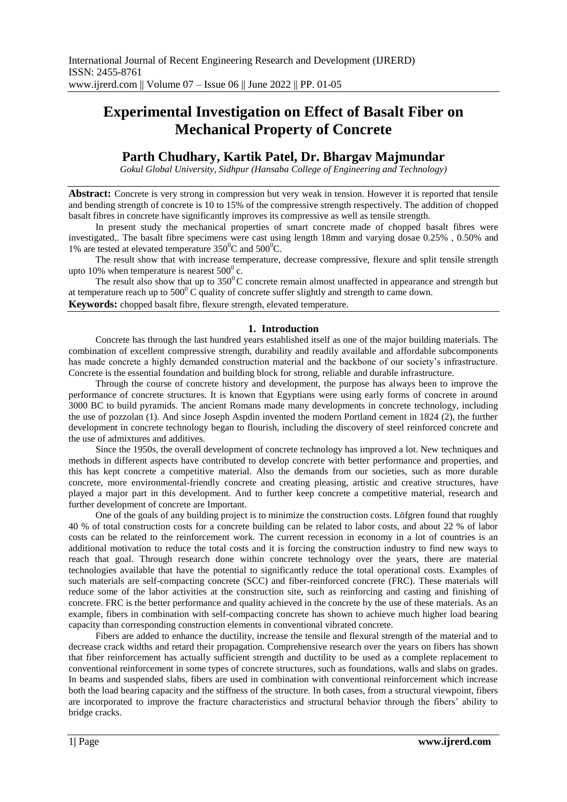# **Experimental Investigation on Effect of Basalt Fiber on Mechanical Property of Concrete**

# **Parth Chudhary, Kartik Patel, Dr. Bhargav Majmundar**

*Gokul Global University, Sidhpur (Hansaba College of Engineering and Technology)*

**Abstract:** Concrete is very strong in compression but very weak in tension. However it is reported that tensile and bending strength of concrete is 10 to 15% of the compressive strength respectively. The addition of chopped basalt fibres in concrete have significantly improves its compressive as well as tensile strength.

In present study the mechanical properties of smart concrete made of chopped basalt fibres were investigated,. The basalt fibre specimens were cast using length 18mm and varying dosae 0.25% , 0.50% and 1% are tested at elevated temperature  $350^0C$  and  $500^0C$ .

The result show that with increase temperature, decrease compressive, flexure and split tensile strength upto 10% when temperature is nearest  $500^{\circ}$  c.

The result also show that up to  $350^{\circ}$ C concrete remain almost unaffected in appearance and strength but at temperature reach up to  $500^{\circ}$  C quality of concrete suffer slightly and strength to came down.

**Keywords:** chopped basalt fibre, flexure strength, elevated temperature.

### **1. Introduction**

Concrete has through the last hundred years established itself as one of the major building materials. The combination of excellent compressive strength, durability and readily available and affordable subcomponents has made concrete a highly demanded construction material and the backbone of our society's infrastructure. Concrete is the essential foundation and building block for strong, reliable and durable infrastructure.

Through the course of concrete history and development, the purpose has always been to improve the performance of concrete structures. It is known that Egyptians were using early forms of concrete in around 3000 BC to build pyramids. The ancient Romans made many developments in concrete technology, including the use of pozzolan (1). And since Joseph Aspdin invented the modern Portland cement in 1824 (2), the further development in concrete technology began to flourish, including the discovery of steel reinforced concrete and the use of admixtures and additives.

Since the 1950s, the overall development of concrete technology has improved a lot. New techniques and methods in different aspects have contributed to develop concrete with better performance and properties, and this has kept concrete a competitive material. Also the demands from our societies, such as more durable concrete, more environmental-friendly concrete and creating pleasing, artistic and creative structures, have played a major part in this development. And to further keep concrete a competitive material, research and further development of concrete are Important.

One of the goals of any building project is to minimize the construction costs. Löfgren found that roughly 40 % of total construction costs for a concrete building can be related to labor costs, and about 22 % of labor costs can be related to the reinforcement work. The current recession in economy in a lot of countries is an additional motivation to reduce the total costs and it is forcing the construction industry to find new ways to reach that goal. Through research done within concrete technology over the years, there are material technologies available that have the potential to significantly reduce the total operational costs. Examples of such materials are self-compacting concrete (SCC) and fiber-reinforced concrete (FRC). These materials will reduce some of the labor activities at the construction site, such as reinforcing and casting and finishing of concrete. FRC is the better performance and quality achieved in the concrete by the use of these materials. As an example, fibers in combination with self-compacting concrete has shown to achieve much higher load bearing capacity than corresponding construction elements in conventional vibrated concrete.

Fibers are added to enhance the ductility, increase the tensile and flexural strength of the material and to decrease crack widths and retard their propagation. Comprehensive research over the years on fibers has shown that fiber reinforcement has actually sufficient strength and ductility to be used as a complete replacement to conventional reinforcement in some types of concrete structures, such as foundations, walls and slabs on grades. In beams and suspended slabs, fibers are used in combination with conventional reinforcement which increase both the load bearing capacity and the stiffness of the structure. In both cases, from a structural viewpoint, fibers are incorporated to improve the fracture characteristics and structural behavior through the fibers' ability to bridge cracks.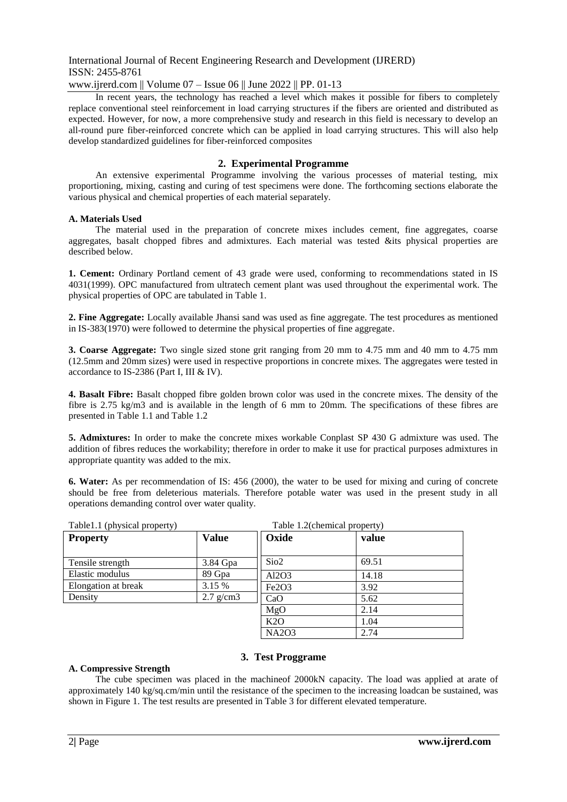www.ijrerd.com || Volume 07 – Issue 06 || June 2022 || PP. 01-13

In recent years, the technology has reached a level which makes it possible for fibers to completely replace conventional steel reinforcement in load carrying structures if the fibers are oriented and distributed as expected. However, for now, a more comprehensive study and research in this field is necessary to develop an all-round pure fiber-reinforced concrete which can be applied in load carrying structures. This will also help develop standardized guidelines for fiber-reinforced composites

### **2. Experimental Programme**

An extensive experimental Programme involving the various processes of material testing, mix proportioning, mixing, casting and curing of test specimens were done. The forthcoming sections elaborate the various physical and chemical properties of each material separately.

#### **A. Materials Used**

The material used in the preparation of concrete mixes includes cement, fine aggregates, coarse aggregates, basalt chopped fibres and admixtures. Each material was tested &its physical properties are described below.

**1. Cement:** Ordinary Portland cement of 43 grade were used, conforming to recommendations stated in IS 4031(1999). OPC manufactured from ultratech cement plant was used throughout the experimental work. The physical properties of OPC are tabulated in Table 1.

**2. Fine Aggregate:** Locally available Jhansi sand was used as fine aggregate. The test procedures as mentioned in IS-383(1970) were followed to determine the physical properties of fine aggregate.

**3. Coarse Aggregate:** Two single sized stone grit ranging from 20 mm to 4.75 mm and 40 mm to 4.75 mm (12.5mm and 20mm sizes) were used in respective proportions in concrete mixes. The aggregates were tested in accordance to IS-2386 (Part I, III & IV).

**4. Basalt Fibre:** Basalt chopped fibre golden brown color was used in the concrete mixes. The density of the fibre is 2.75 kg/m3 and is available in the length of 6 mm to 20mm. The specifications of these fibres are presented in Table 1.1 and Table 1.2

**5. Admixtures:** In order to make the concrete mixes workable Conplast SP 430 G admixture was used. The addition of fibres reduces the workability; therefore in order to make it use for practical purposes admixtures in appropriate quantity was added to the mix.

**6. Water:** As per recommendation of IS: 456 (2000), the water to be used for mixing and curing of concrete should be free from deleterious materials. Therefore potable water was used in the present study in all operations demanding control over water quality.

| Table1.1 (physical property) | Table 1.2(chemical property) |                                |       |  |  |
|------------------------------|------------------------------|--------------------------------|-------|--|--|
| <b>Property</b>              | <b>Value</b>                 | Oxide                          | value |  |  |
|                              |                              |                                |       |  |  |
| Tensile strength             | 3.84 Gpa                     | Si <sub>o2</sub>               | 69.51 |  |  |
| Elastic modulus              | 89 Gpa                       | Al2O3                          | 14.18 |  |  |
| Elongation at break          | 3.15 %                       | Fe <sub>2</sub> O <sub>3</sub> | 3.92  |  |  |
| Density                      | $2.7$ g/cm $3$               | CaO                            | 5.62  |  |  |
|                              |                              | MgO                            | 2.14  |  |  |
|                              |                              | K2O                            | 1.04  |  |  |
|                              |                              | <b>NA2O3</b>                   | 2.74  |  |  |

## **3. Test Proggrame**

#### **A. Compressive Strength**

The cube specimen was placed in the machineof 2000kN capacity. The load was applied at arate of approximately 140 kg/sq.cm/min until the resistance of the specimen to the increasing loadcan be sustained, was shown in Figure 1. The test results are presented in Table 3 for different elevated temperature.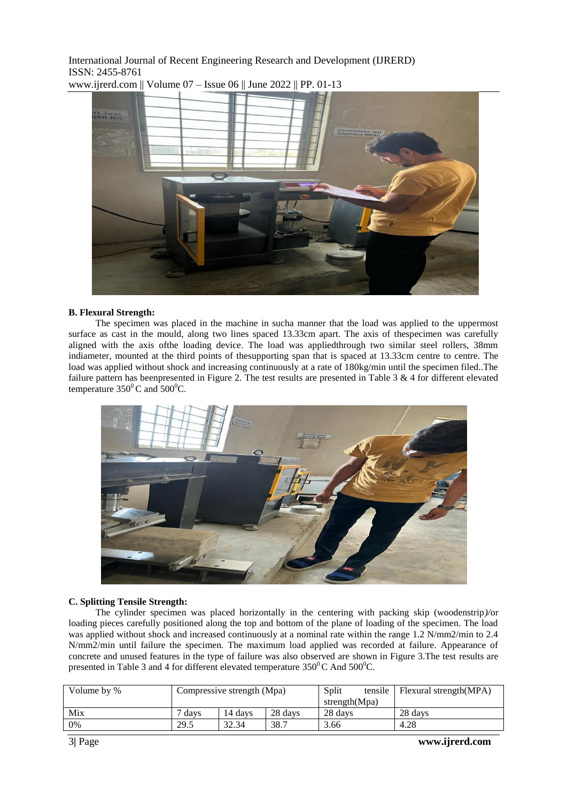

www.ijrerd.com || Volume 07 – Issue 06 || June 2022 || PP. 01-13

#### **B. Flexural Strength:**

The specimen was placed in the machine in sucha manner that the load was applied to the uppermost surface as cast in the mould, along two lines spaced 13.33cm apart. The axis of thespecimen was carefully aligned with the axis ofthe loading device. The load was appliedthrough two similar steel rollers, 38mm indiameter, mounted at the third points of thesupporting span that is spaced at 13.33cm centre to centre. The load was applied without shock and increasing continuously at a rate of 180kg/min until the specimen filed..The failure pattern has beenpresented in Figure 2. The test results are presented in Table 3 & 4 for different elevated temperature  $350^{\circ}$ C and  $500^{\circ}$ C.



#### **C. Splitting Tensile Strength:**

The cylinder specimen was placed horizontally in the centering with packing skip (woodenstrip*)/*or loading pieces carefully positioned along the top and bottom of the plane of loading of the specimen. The load was applied without shock and increased continuously at a nominal rate within the range 1.2 N/mm2/min to 2.4 N/mm2/min until failure the specimen. The maximum load applied was recorded at failure. Appearance of concrete and unused features in the type of failure was also observed are shown in Figure 3.The test results are presented in Table 3 and 4 for different elevated temperature  $350^{\circ}$ C And  $500^{\circ}$ C.

| Volume by % | Compressive strength (Mpa) |         |         | Split         | tensile | Flexural strength(MPA) |
|-------------|----------------------------|---------|---------|---------------|---------|------------------------|
|             |                            |         |         | strength(Mpa) |         |                        |
| Mix         | davs                       | 14 davs | 28 days | 28 days       |         | 28 days                |
| 0%          | 29.5                       | 32.34   | 38.7    | 3.66          |         | 4.28                   |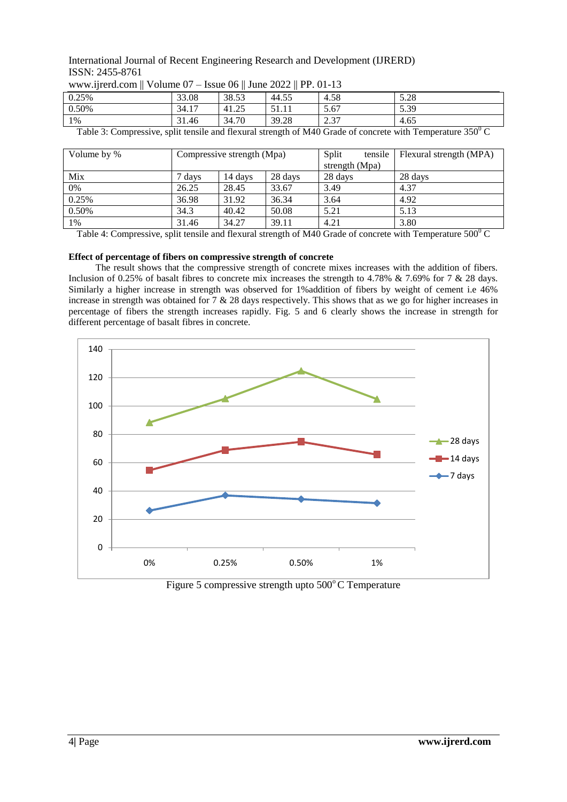| 0.25%                  | 33.08                            | 38.53                     | 44.5                | 4.58            | 5.28                     |
|------------------------|----------------------------------|---------------------------|---------------------|-----------------|--------------------------|
| 0.50%                  | 1 <sub>7</sub><br>34.17          | $\cap \subset$<br>$-41.2$ | - - - - - - -       | 5.67            | 5.39                     |
| 1%                     | 31.46                            | 34.70                     | 39.28               | $\Omega$<br>ا ت | 4.65                     |
| $\sim$<br><b>m</b> 1.1 | $^{\bullet}$ 1<br>$\blacksquare$ | 1 <sub>0</sub>            | 0.1100<br>$\cdot$ 1 |                 | $2.50\sigma$<br>$\cdots$ |

Table 3: Compressive, split tensile and flexural strength of M40 Grade of concrete with Temperature 350<sup>0</sup> C

| Volume by % | Compressive strength (Mpa) |         | Split   | tensile        | Flexural strength (MPA) |         |
|-------------|----------------------------|---------|---------|----------------|-------------------------|---------|
|             |                            |         |         | strength (Mpa) |                         |         |
| Mix         | davs                       | 14 davs | 28 days | 28 days        |                         | 28 days |
| 0%          | 26.25                      | 28.45   | 33.67   | 3.49           |                         | 4.37    |
| 0.25%       | 36.98                      | 31.92   | 36.34   | 3.64           |                         | 4.92    |
| 0.50%       | 34.3                       | 40.42   | 50.08   | 5.21           |                         | 5.13    |
| 1%          | 31.46                      | 34.27   | 39.11   | 4.21           |                         | 3.80    |

Table 4: Compressive, split tensile and flexural strength of M40 Grade of concrete with Temperature  $500^{\circ}$ C

#### **Effect of percentage of fibers on compressive strength of concrete**

www.ijrerd.com || Volume 07 – Issue 06 || June 2022 || PP. 01-13

The result shows that the compressive strength of concrete mixes increases with the addition of fibers. Inclusion of 0.25% of basalt fibres to concrete mix increases the strength to 4.78% & 7.69% for 7 & 28 days. Similarly a higher increase in strength was observed for 1%addition of fibers by weight of cement i.e 46% increase in strength was obtained for  $7 \& 28$  days respectively. This shows that as we go for higher increases in percentage of fibers the strength increases rapidly. Fig. 5 and 6 clearly shows the increase in strength for different percentage of basalt fibres in concrete.



Figure 5 compressive strength upto  $500^{\circ}$ C Temperature